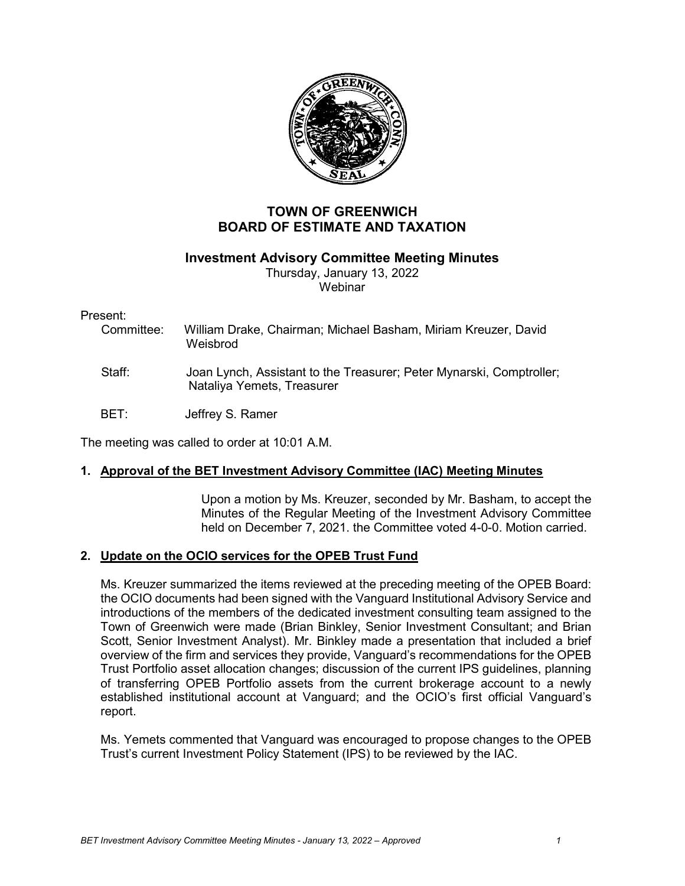

# **TOWN OF GREENWICH BOARD OF ESTIMATE AND TAXATION**

# **Investment Advisory Committee Meeting Minutes**

Thursday, January 13, 2022 **Webinar** 

## Present:

| Committee:   | William Drake, Chairman; Michael Basham, Miriam Kreuzer, David<br>Weisbrod                         |
|--------------|----------------------------------------------------------------------------------------------------|
| Staff:       | Joan Lynch, Assistant to the Treasurer; Peter Mynarski, Comptroller;<br>Nataliya Yemets, Treasurer |
| <b>BET</b> : | Jeffrey S. Ramer                                                                                   |

The meeting was called to order at 10:01 A.M.

# **1. Approval of the BET Investment Advisory Committee (IAC) Meeting Minutes**

Upon a motion by Ms. Kreuzer, seconded by Mr. Basham, to accept the Minutes of the Regular Meeting of the Investment Advisory Committee held on December 7, 2021. the Committee voted 4-0-0. Motion carried.

# **2. Update on the OCIO services for the OPEB Trust Fund**

Ms. Kreuzer summarized the items reviewed at the preceding meeting of the OPEB Board: the OCIO documents had been signed with the Vanguard Institutional Advisory Service and introductions of the members of the dedicated investment consulting team assigned to the Town of Greenwich were made (Brian Binkley, Senior Investment Consultant; and Brian Scott, Senior Investment Analyst). Mr. Binkley made a presentation that included a brief overview of the firm and services they provide, Vanguard's recommendations for the OPEB Trust Portfolio asset allocation changes; discussion of the current IPS guidelines, planning of transferring OPEB Portfolio assets from the current brokerage account to a newly established institutional account at Vanguard; and the OCIO's first official Vanguard's report.

Ms. Yemets commented that Vanguard was encouraged to propose changes to the OPEB Trust's current Investment Policy Statement (IPS) to be reviewed by the IAC.